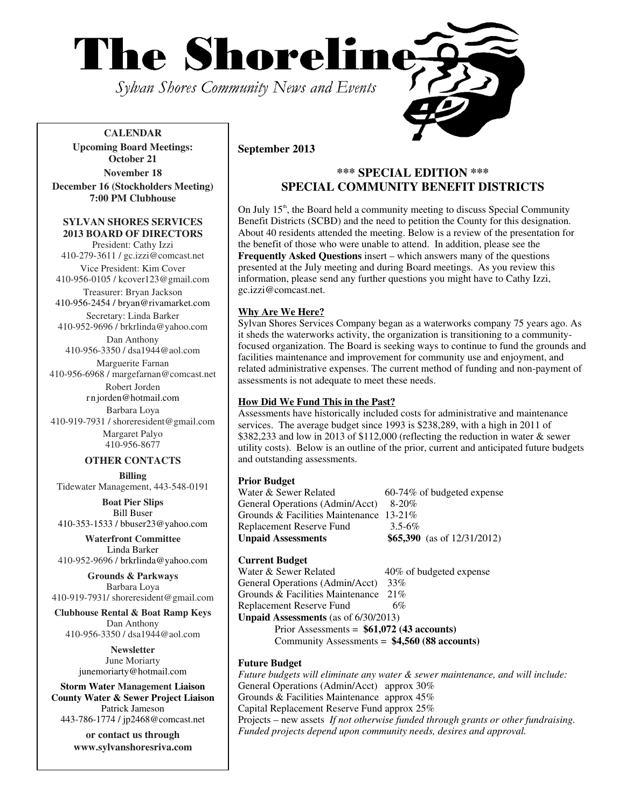

**CALENDAR Upcoming Board Meetings: October 21 November 18 December 16 (Stockholders Meeting)** 

**7:00 PM Clubhouse** 

#### **SYLVAN SHORES SERVICES 2013 BOARD OF DIRECTORS**

President: Cathy Izzi 410-279-3611 / gc.izzi@comcast.net Vice President: Kim Cover

410-956-0105 / kcover123@gmail.com Treasurer: Bryan Jackson

410-956-2454 / bryan@rivamarket.com Secretary: Linda Barker 410-952-9696 / brkrlinda@yahoo.com

Dan Anthony

410-956-3350 / dsa1944@aol.com Marguerite Farnan

410-956-6968 / margefarnan@comcast.net Robert Jorden

r n jorden@hotmail.com Barbara Loya

410-919-7931 / shoreresident@gmail.com Margaret Palyo 410-956-8677

# **OTHER CONTACTS**

**Billing**  Tidewater Management, 443-548-0191

**Boat Pier Slips**  Bill Buser 410-353-1533 / bbuser23@yahoo.com

**Waterfront Committee**  Linda Barker 410-952-9696 / brkrlinda@yahoo.com

**Grounds & Parkways**  Barbara Loya 410-919-7931/ shoreresident@gmail.com

**Clubhouse Rental & Boat Ramp Keys**  Dan Anthony 410-956-3350 / dsa1944@aol.com

> **Newsletter**  June Moriarty junemoriarty@hotmail.com

**Storm Water Management Liaison County Water & Sewer Project Liaison**  Patrick Jameson 443-786-1774 / jp2468@comcast.net

> **or contact us through www.sylvanshoresriva.com**

# **September 2013**

# **\*\*\* SPECIAL EDITION \*\*\* SPECIAL COMMUNITY BENEFIT DISTRICTS**

On July  $15<sup>th</sup>$ , the Board held a community meeting to discuss Special Community Benefit Districts (SCBD) and the need to petition the County for this designation. About 40 residents attended the meeting. Below is a review of the presentation for the benefit of those who were unable to attend. In addition, please see the **Frequently Asked Questions** insert – which answers many of the questions presented at the July meeting and during Board meetings. As you review this information, please send any further questions you might have to Cathy Izzi, gc.izzi@comcast.net.

### **Why Are We Here?**

Sylvan Shores Services Company began as a waterworks company 75 years ago. As it sheds the waterworks activity, the organization is transitioning to a communityfocused organization. The Board is seeking ways to continue to fund the grounds and facilities maintenance and improvement for community use and enjoyment, and related administrative expenses. The current method of funding and non-payment of assessments is not adequate to meet these needs.

#### **How Did We Fund This in the Past?**

Assessments have historically included costs for administrative and maintenance services. The average budget since 1993 is \$238,289, with a high in 2011 of \$382,233 and low in 2013 of \$112,000 (reflecting the reduction in water & sewer utility costs). Below is an outline of the prior, current and anticipated future budgets and outstanding assessments.

**Prior Budget**<br>Water & Sewer Related  $60-74\%$  of budgeted expense General Operations (Admin/Acct) 8-20% Grounds & Facilities Maintenance 13-21% Replacement Reserve Fund 3.5-6% **Unpaid Assessments \$65,390** (as of 12/31/2012)

**Current Budget**  40% of budgeted expense General Operations (Admin/Acct) 33% Grounds & Facilities Maintenance 21% Replacement Reserve Fund 6% **Unpaid Assessments** (as of 6/30/2013) Prior Assessments = **\$61,072 (43 accounts)**

Community Assessments = **\$4,560 (88 accounts)**

### **Future Budget**

*Future budgets will eliminate any water & sewer maintenance, and will include:* General Operations (Admin/Acct) approx 30% Grounds & Facilities Maintenance approx 45% Capital Replacement Reserve Fund approx 25% Projects – new assets *If not otherwise funded through grants or other fundraising. Funded projects depend upon community needs, desires and approval.*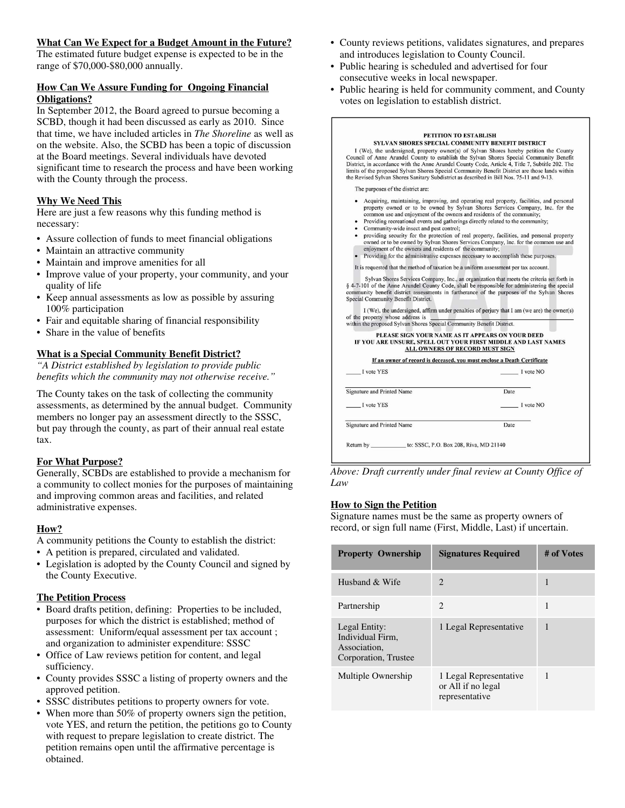#### **What Can We Expect for a Budget Amount in the Future?**

The estimated future budget expense is expected to be in the range of \$70,000-\$80,000 annually.

# **How Can We Assure Funding for Ongoing Financial Obligations?**

In September 2012, the Board agreed to pursue becoming a SCBD, though it had been discussed as early as 2010. Since that time, we have included articles in *The Shoreline* as well as on the website. Also, the SCBD has been a topic of discussion at the Board meetings. Several individuals have devoted significant time to research the process and have been working with the County through the process.

# **Why We Need This**

Here are just a few reasons why this funding method is necessary:

- Assure collection of funds to meet financial obligations
- Maintain an attractive community
- Maintain and improve amenities for all
- Improve value of your property, your community, and your quality of life
- Keep annual assessments as low as possible by assuring 100% participation
- Fair and equitable sharing of financial responsibility
- Share in the value of benefits

# **What is a Special Community Benefit District?**

*"A District established by legislation to provide public benefits which the community may not otherwise receive."* 

The County takes on the task of collecting the community assessments, as determined by the annual budget. Community members no longer pay an assessment directly to the SSSC, but pay through the county, as part of their annual real estate tax.

# **For What Purpose?**

Generally, SCBDs are established to provide a mechanism for a community to collect monies for the purposes of maintaining and improving common areas and facilities, and related administrative expenses.

# **How?**

A community petitions the County to establish the district:

- A petition is prepared, circulated and validated.
- Legislation is adopted by the County Council and signed by the County Executive.

# **The Petition Process**

- Board drafts petition, defining: Properties to be included, purposes for which the district is established; method of assessment: Uniform/equal assessment per tax account ; and organization to administer expenditure: SSSC
- Office of Law reviews petition for content, and legal sufficiency.
- County provides SSSC a listing of property owners and the approved petition.
- SSSC distributes petitions to property owners for vote.
- When more than 50% of property owners sign the petition, vote YES, and return the petition, the petitions go to County with request to prepare legislation to create district. The petition remains open until the affirmative percentage is obtained.
- County reviews petitions, validates signatures, and prepares and introduces legislation to County Council.
- Public hearing is scheduled and advertised for four consecutive weeks in local newspaper.
- Public hearing is held for community comment, and County votes on legislation to establish district.

| <b>PETITION TO ESTABLISH</b><br>SYLVAN SHORES SPECIAL COMMUNITY BENEFIT DISTRICT<br>I (We), the undersigned, property owner(s) of Sylvan Shores hereby petition the County<br>Council of Anne Arundel County to establish the Sylvan Shores Special Community Benefit<br>District, in accordance with the Anne Arundel County Code, Article 4, Title 7, Subtitle 202. The<br>limits of the proposed Sylvan Shores Special Community Benefit District are those lands within<br>the Revised Sylvan Shores Sanitary Subdistrict as described in Bill Nos. 75-11 and 9-13.                                                                                                                                                       |           |  |
|-------------------------------------------------------------------------------------------------------------------------------------------------------------------------------------------------------------------------------------------------------------------------------------------------------------------------------------------------------------------------------------------------------------------------------------------------------------------------------------------------------------------------------------------------------------------------------------------------------------------------------------------------------------------------------------------------------------------------------|-----------|--|
| The purposes of the district are:                                                                                                                                                                                                                                                                                                                                                                                                                                                                                                                                                                                                                                                                                             |           |  |
| • Acquiring, maintaining, improving, and operating real property, facilities, and personal<br>property owned or to be owned by Sylvan Shores Services Company, Inc. for the<br>common use and enjoyment of the owners and residents of the community;<br>• Providing recreational events and gatherings directly related to the community;<br>• Community-wide insect and pest control;<br>• providing security for the protection of real property, facilities, and personal property<br>owned or to be owned by Sylvan Shores Services Company, Inc. for the common use and<br>enjoyment of the owners and residents of the community;<br>Providing for the administrative expenses necessary to accomplish these purposes. |           |  |
| It is requested that the method of taxation be a uniform assessment per tax account.                                                                                                                                                                                                                                                                                                                                                                                                                                                                                                                                                                                                                                          |           |  |
| Sylvan Shores Services Company, Inc., an organization that meets the criteria set forth in<br>§ 4-7-101 of the Anne Arundel County Code, shall be responsible for administering the special<br>community benefit district assessments in furtherance of the purposes of the Sylvan Shores<br>Special Community Benefit District.<br>I (We), the undersigned, affirm under penalties of perjury that I am (we are) the owner(s)<br>of the property whose address is                                                                                                                                                                                                                                                            |           |  |
| within the proposed Sylvan Shores Special Community Benefit District.                                                                                                                                                                                                                                                                                                                                                                                                                                                                                                                                                                                                                                                         |           |  |
| PLEASE SIGN YOUR NAME AS IT APPEARS ON YOUR DEED<br>IF YOU ARE UNSURE, SPELL OUT YOUR FIRST MIDDLE AND LAST NAMES<br><b>ALL OWNERS OF RECORD MUST SIGN</b>                                                                                                                                                                                                                                                                                                                                                                                                                                                                                                                                                                    |           |  |
| If an owner of record is deceased, you must enclose a Death Certificate                                                                                                                                                                                                                                                                                                                                                                                                                                                                                                                                                                                                                                                       |           |  |
| I vote YES                                                                                                                                                                                                                                                                                                                                                                                                                                                                                                                                                                                                                                                                                                                    | I vote NO |  |
| Signature and Printed Name                                                                                                                                                                                                                                                                                                                                                                                                                                                                                                                                                                                                                                                                                                    | Date      |  |
| I vote YES                                                                                                                                                                                                                                                                                                                                                                                                                                                                                                                                                                                                                                                                                                                    | I vote NO |  |
| Signature and Printed Name                                                                                                                                                                                                                                                                                                                                                                                                                                                                                                                                                                                                                                                                                                    | Date      |  |
| Return by _____________ to: SSSC, P.O. Box 208, Riva, MD 21140                                                                                                                                                                                                                                                                                                                                                                                                                                                                                                                                                                                                                                                                |           |  |

*Above: Draft currently under final review at County Office of Law* 

## **How to Sign the Petition**

Signature names must be the same as property owners of record, or sign full name (First, Middle, Last) if uncertain.

| <b>Property Ownership</b>                                                 | <b>Signatures Required</b>                                     | # of Votes |
|---------------------------------------------------------------------------|----------------------------------------------------------------|------------|
| Husband & Wife                                                            | $\mathcal{D}$                                                  | 1          |
| Partnership                                                               | $\mathcal{D}_{\mathcal{A}}$                                    | 1          |
| Legal Entity:<br>Individual Firm.<br>Association,<br>Corporation, Trustee | 1 Legal Representative                                         | 1          |
| Multiple Ownership                                                        | 1 Legal Representative<br>or All if no legal<br>representative | 1          |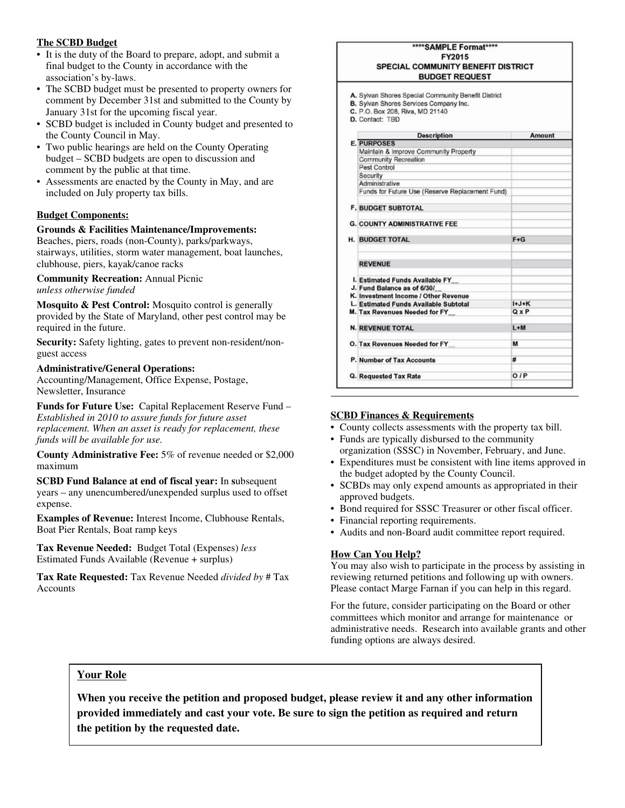### **The SCBD Budget**

- It is the duty of the Board to prepare, adopt, and submit a final budget to the County in accordance with the association's by-laws.
- The SCBD budget must be presented to property owners for comment by December 31st and submitted to the County by January 31st for the upcoming fiscal year.
- SCBD budget is included in County budget and presented to the County Council in May.
- Two public hearings are held on the County Operating budget – SCBD budgets are open to discussion and comment by the public at that time.
- Assessments are enacted by the County in May, and are included on July property tax bills.

# **Budget Components:**

# **Grounds & Facilities Maintenance/Improvements:**

Beaches, piers, roads (non-County), parks/parkways, stairways, utilities, storm water management, boat launches, clubhouse, piers, kayak/canoe racks

#### **Community Recreation:** Annual Picnic *unless otherwise funded*

**Mosquito & Pest Control:** Mosquito control is generally provided by the State of Maryland, other pest control may be required in the future.

**Security:** Safety lighting, gates to prevent non-resident/nonguest access

# **Administrative/General Operations:**

Accounting/Management, Office Expense, Postage, Newsletter, Insurance

**Funds for Future Use:** Capital Replacement Reserve Fund – *Established in 2010 to assure funds for future asset replacement. When an asset is ready for replacement, these funds will be available for use.*

**County Administrative Fee:** 5% of revenue needed or \$2,000 maximum

**SCBD Fund Balance at end of fiscal year:** In subsequent years – any unencumbered/unexpended surplus used to offset expense.

**Examples of Revenue:** Interest Income, Clubhouse Rentals, Boat Pier Rentals, Boat ramp keys

**Tax Revenue Needed:** Budget Total (Expenses) *less* Estimated Funds Available (Revenue + surplus)

**Tax Rate Requested:** Tax Revenue Needed *divided by* # Tax Accounts

#### \*\*\*\*SAMPLE Format\*\*\*\* FY2015 SPECIAL COMMUNITY BENEFIT DISTRICT **BUDGET REQUEST** A. Sylvan Shores Special Community Benefit District B. Sylvan Shores Services Company Inc. C. P.O. Box 208, Riva, MD 21140 D. Contact: TBD Amount **Description E. PURPOSES** Maintain & Improve Community Property Community Recreation Pest Control Security Administrative Funds for Future Use (Reserve Replacement Fund) F, BUDGET SUBTOTAL **G. COUNTY ADMINISTRATIVE FEE H. BUDGET TOTAL**  $F + G$ **REVENUE** I. Estimated Funds Available FY\_ J. Fund Balance as of 6/30/ K. Investment Income / Other Revenue  $H+J+K$ L. Estimated Funds Available Subtotal M. Tax Revenues Needed for FY\_  $Q \times P$  $L+M$ **N. REVENUE TOTAL**  $\overline{M}$ O. Tax Revenues Needed for FY P. Number of Tax Accounts  $O/P$ Q. Requested Tax Rate

#### **SCBD Finances & Requirements**

- County collects assessments with the property tax bill.
- Funds are typically disbursed to the community organization (SSSC) in November, February, and June.
- Expenditures must be consistent with line items approved in the budget adopted by the County Council.
- SCBDs may only expend amounts as appropriated in their approved budgets.
- Bond required for SSSC Treasurer or other fiscal officer.
- Financial reporting requirements.
- Audits and non-Board audit committee report required.

#### **How Can You Help?**

You may also wish to participate in the process by assisting in reviewing returned petitions and following up with owners. Please contact Marge Farnan if you can help in this regard.

For the future, consider participating on the Board or other committees which monitor and arrange for maintenance or administrative needs. Research into available grants and other funding options are always desired.

#### **Your Role**

**When you receive the petition and proposed budget, please review it and any other information provided immediately and cast your vote. Be sure to sign the petition as required and return the petition by the requested date.**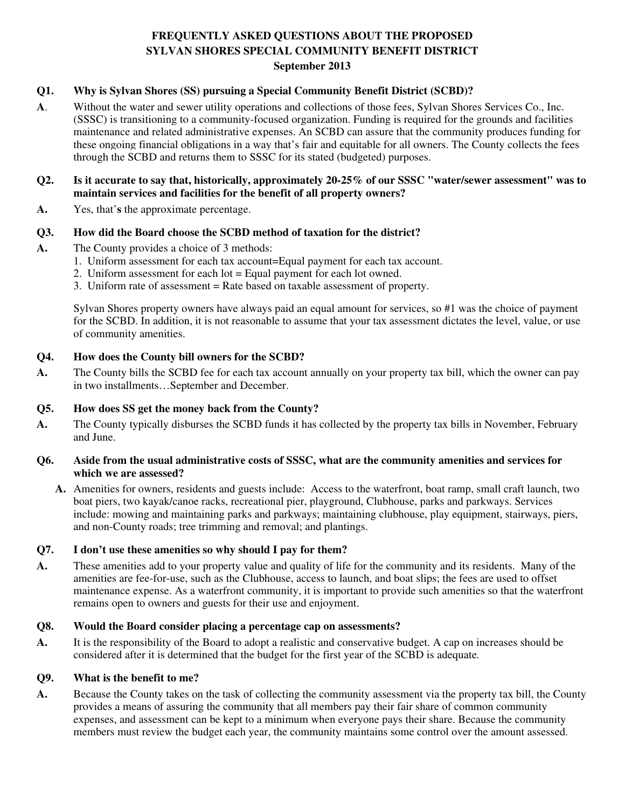# **FREQUENTLY ASKED QUESTIONS ABOUT THE PROPOSED SYLVAN SHORES SPECIAL COMMUNITY BENEFIT DISTRICT September 2013**

# **Q1. Why is Sylvan Shores (SS) pursuing a Special Community Benefit District (SCBD)?**

**A**. Without the water and sewer utility operations and collections of those fees, Sylvan Shores Services Co., Inc. (SSSC) is transitioning to a community-focused organization. Funding is required for the grounds and facilities maintenance and related administrative expenses. An SCBD can assure that the community produces funding for these ongoing financial obligations in a way that's fair and equitable for all owners. The County collects the fees through the SCBD and returns them to SSSC for its stated (budgeted) purposes.

# **Q2. Is it accurate to say that, historically, approximately 20-25% of our SSSC "water/sewer assessment" was to maintain services and facilities for the benefit of all property owners?**

**A.** Yes, that'**s** the approximate percentage.

# **Q3. How did the Board choose the SCBD method of taxation for the district?**

- **A.** The County provides a choice of 3 methods:
	- 1. Uniform assessment for each tax account=Equal payment for each tax account.
	- 2. Uniform assessment for each  $\text{lot} =$  Equal payment for each  $\text{lot}$  owned.
	- 3. Uniform rate of assessment = Rate based on taxable assessment of property.

Sylvan Shores property owners have always paid an equal amount for services, so #1 was the choice of payment for the SCBD. In addition, it is not reasonable to assume that your tax assessment dictates the level, value, or use of community amenities.

# **Q4. How does the County bill owners for the SCBD?**

**A.** The County bills the SCBD fee for each tax account annually on your property tax bill, which the owner can pay in two installments…September and December.

# **Q5. How does SS get the money back from the County?**

**A.** The County typically disburses the SCBD funds it has collected by the property tax bills in November, February and June.

# **Q6. Aside from the usual administrative costs of SSSC, what are the community amenities and services for which we are assessed?**

**A.** Amenities for owners, residents and guests include: Access to the waterfront, boat ramp, small craft launch, two boat piers, two kayak/canoe racks, recreational pier, playground, Clubhouse, parks and parkways. Services include: mowing and maintaining parks and parkways; maintaining clubhouse, play equipment, stairways, piers, and non-County roads; tree trimming and removal; and plantings.

# **Q7. I don't use these amenities so why should I pay for them?**

**A.** These amenities add to your property value and quality of life for the community and its residents. Many of the amenities are fee-for-use, such as the Clubhouse, access to launch, and boat slips; the fees are used to offset maintenance expense. As a waterfront community, it is important to provide such amenities so that the waterfront remains open to owners and guests for their use and enjoyment.

# **Q8. Would the Board consider placing a percentage cap on assessments?**

**A.** It is the responsibility of the Board to adopt a realistic and conservative budget. A cap on increases should be considered after it is determined that the budget for the first year of the SCBD is adequate*.* 

# **Q9. What is the benefit to me?**

**A.** Because the County takes on the task of collecting the community assessment via the property tax bill, the County provides a means of assuring the community that all members pay their fair share of common community expenses, and assessment can be kept to a minimum when everyone pays their share. Because the community members must review the budget each year, the community maintains some control over the amount assessed.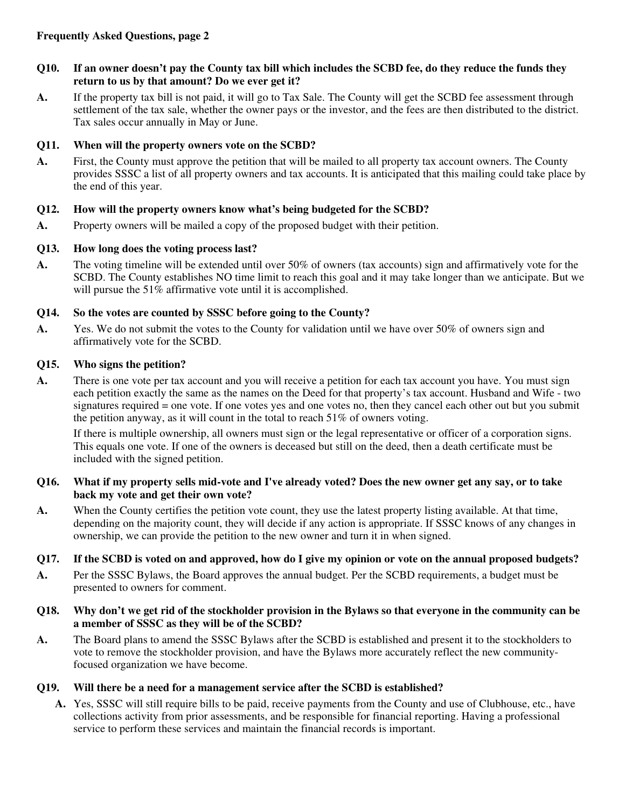- **Q10. If an owner doesn't pay the County tax bill which includes the SCBD fee, do they reduce the funds they return to us by that amount? Do we ever get it?**
- **A.** If the property tax bill is not paid, it will go to Tax Sale. The County will get the SCBD fee assessment through settlement of the tax sale, whether the owner pays or the investor, and the fees are then distributed to the district. Tax sales occur annually in May or June.

# **Q11. When will the property owners vote on the SCBD?**

**A.** First, the County must approve the petition that will be mailed to all property tax account owners. The County provides SSSC a list of all property owners and tax accounts. It is anticipated that this mailing could take place by the end of this year.

# **Q12. How will the property owners know what's being budgeted for the SCBD?**

**A.** Property owners will be mailed a copy of the proposed budget with their petition.

# **Q13. How long does the voting process last?**

**A.** The voting timeline will be extended until over 50% of owners (tax accounts) sign and affirmatively vote for the SCBD. The County establishes NO time limit to reach this goal and it may take longer than we anticipate. But we will pursue the 51% affirmative vote until it is accomplished.

# **Q14. So the votes are counted by SSSC before going to the County?**

**A.** Yes. We do not submit the votes to the County for validation until we have over 50% of owners sign and affirmatively vote for the SCBD.

# **Q15. Who signs the petition?**

**A.** There is one vote per tax account and you will receive a petition for each tax account you have. You must sign each petition exactly the same as the names on the Deed for that property's tax account. Husband and Wife - two signatures required = one vote. If one votes yes and one votes no, then they cancel each other out but you submit the petition anyway, as it will count in the total to reach  $51\%$  of owners voting.

If there is multiple ownership, all owners must sign or the legal representative or officer of a corporation signs. This equals one vote. If one of the owners is deceased but still on the deed, then a death certificate must be included with the signed petition.

# **Q16. What if my property sells mid-vote and I've already voted? Does the new owner get any say, or to take back my vote and get their own vote?**

**A.** When the County certifies the petition vote count, they use the latest property listing available. At that time, depending on the majority count, they will decide if any action is appropriate. If SSSC knows of any changes in ownership, we can provide the petition to the new owner and turn it in when signed.

# **Q17. If the SCBD is voted on and approved, how do I give my opinion or vote on the annual proposed budgets?**

**A.** Per the SSSC Bylaws, the Board approves the annual budget. Per the SCBD requirements, a budget must be presented to owners for comment.

# **Q18. Why don't we get rid of the stockholder provision in the Bylaws so that everyone in the community can be a member of SSSC as they will be of the SCBD?**

**A.** The Board plans to amend the SSSC Bylaws after the SCBD is established and present it to the stockholders to vote to remove the stockholder provision, and have the Bylaws more accurately reflect the new communityfocused organization we have become.

# **Q19. Will there be a need for a management service after the SCBD is established?**

**A.** Yes, SSSC will still require bills to be paid, receive payments from the County and use of Clubhouse, etc., have collections activity from prior assessments, and be responsible for financial reporting. Having a professional service to perform these services and maintain the financial records is important.